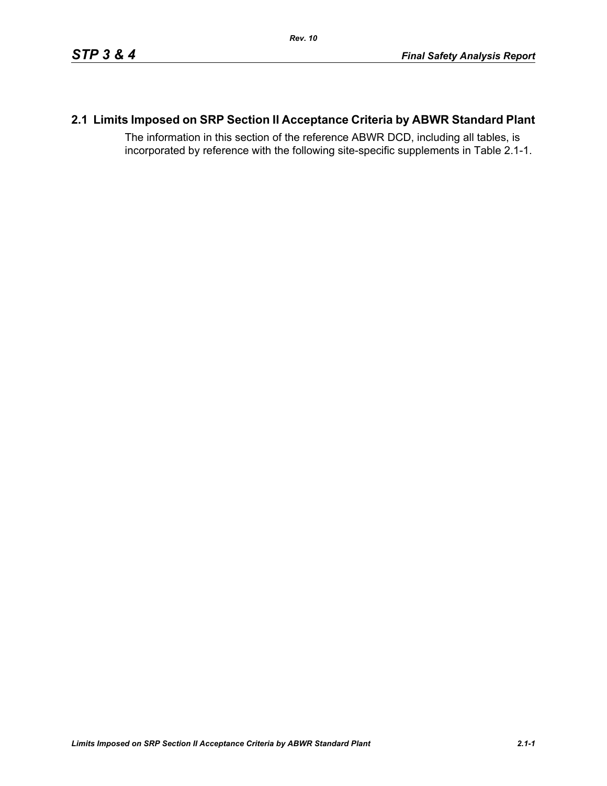# **2.1 Limits Imposed on SRP Section II Acceptance Criteria by ABWR Standard Plant**

The information in this section of the reference ABWR DCD, including all tables, is incorporated by reference with the following site-specific supplements in Table [2.1-1.](#page-1-0)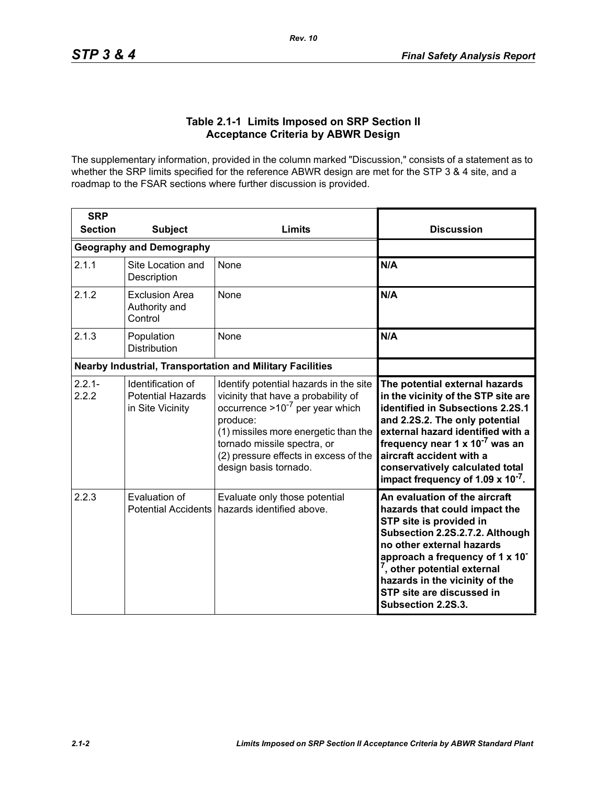### **Table 2.1-1 Limits Imposed on SRP Section II Acceptance Criteria by ABWR Design**

<span id="page-1-0"></span>The supplementary information, provided in the column marked "Discussion," consists of a statement as to whether the SRP limits specified for the reference ABWR design are met for the STP 3 & 4 site, and a roadmap to the FSAR sections where further discussion is provided.

| <b>SRP</b>                                                       |                                                                   |                                                                                                                                                                                                                                                                            |                                                                                                                                                                                                                                                                                                                                                       |
|------------------------------------------------------------------|-------------------------------------------------------------------|----------------------------------------------------------------------------------------------------------------------------------------------------------------------------------------------------------------------------------------------------------------------------|-------------------------------------------------------------------------------------------------------------------------------------------------------------------------------------------------------------------------------------------------------------------------------------------------------------------------------------------------------|
| <b>Section</b>                                                   | <b>Subject</b>                                                    | Limits                                                                                                                                                                                                                                                                     | <b>Discussion</b>                                                                                                                                                                                                                                                                                                                                     |
|                                                                  | <b>Geography and Demography</b>                                   |                                                                                                                                                                                                                                                                            |                                                                                                                                                                                                                                                                                                                                                       |
| 2.1.1                                                            | Site Location and<br>Description                                  | None                                                                                                                                                                                                                                                                       | N/A                                                                                                                                                                                                                                                                                                                                                   |
| 2.1.2                                                            | <b>Exclusion Area</b><br>Authority and<br>Control                 | <b>None</b>                                                                                                                                                                                                                                                                | N/A                                                                                                                                                                                                                                                                                                                                                   |
| 2.1.3                                                            | Population<br><b>Distribution</b>                                 | None                                                                                                                                                                                                                                                                       | N/A                                                                                                                                                                                                                                                                                                                                                   |
| <b>Nearby Industrial, Transportation and Military Facilities</b> |                                                                   |                                                                                                                                                                                                                                                                            |                                                                                                                                                                                                                                                                                                                                                       |
| $2.2.1 -$<br>2.2.2                                               | Identification of<br><b>Potential Hazards</b><br>in Site Vicinity | Identify potential hazards in the site<br>vicinity that have a probability of<br>occurrence $>10^{-7}$ per year which<br>produce:<br>(1) missiles more energetic than the<br>tornado missile spectra, or<br>(2) pressure effects in excess of the<br>design basis tornado. | The potential external hazards<br>in the vicinity of the STP site are<br>identified in Subsections 2.2S.1<br>and 2.2S.2. The only potential<br>external hazard identified with a<br>frequency near 1 x 10 <sup>-7</sup> was an<br>aircraft accident with a<br>conservatively calculated total<br>impact frequency of 1.09 $\times$ 10 <sup>-7</sup> . |
| 2.2.3                                                            | Evaluation of<br><b>Potential Accidents</b>                       | Evaluate only those potential<br>hazards identified above.                                                                                                                                                                                                                 | An evaluation of the aircraft<br>hazards that could impact the<br>STP site is provided in<br>Subsection 2.2S.2.7.2. Although<br>no other external hazards<br>approach a frequency of 1 x 10 <sup>-</sup><br><sup>7</sup> , other potential external<br>hazards in the vicinity of the<br>STP site are discussed in<br>Subsection 2.2S.3.              |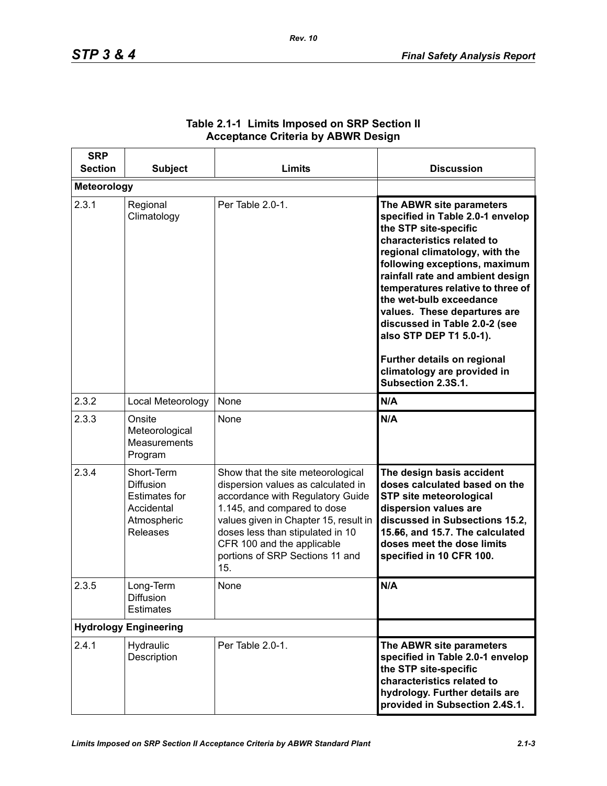| <b>SRP</b><br><b>Section</b> | <b>Subject</b>                                                                                         | Limits                                                                                                                                                                                                                                                                                          | <b>Discussion</b>                                                                                                                                                                                                                                                                                                                                                                                                                                                          |
|------------------------------|--------------------------------------------------------------------------------------------------------|-------------------------------------------------------------------------------------------------------------------------------------------------------------------------------------------------------------------------------------------------------------------------------------------------|----------------------------------------------------------------------------------------------------------------------------------------------------------------------------------------------------------------------------------------------------------------------------------------------------------------------------------------------------------------------------------------------------------------------------------------------------------------------------|
| <b>Meteorology</b>           |                                                                                                        |                                                                                                                                                                                                                                                                                                 |                                                                                                                                                                                                                                                                                                                                                                                                                                                                            |
| 2.3.1                        | Regional<br>Climatology                                                                                | Per Table 2.0-1.                                                                                                                                                                                                                                                                                | The ABWR site parameters<br>specified in Table 2.0-1 envelop<br>the STP site-specific<br>characteristics related to<br>regional climatology, with the<br>following exceptions, maximum<br>rainfall rate and ambient design<br>temperatures relative to three of<br>the wet-bulb exceedance<br>values. These departures are<br>discussed in Table 2.0-2 (see<br>also STP DEP T1 5.0-1).<br>Further details on regional<br>climatology are provided in<br>Subsection 2.3S.1. |
| 2.3.2                        | Local Meteorology                                                                                      | None                                                                                                                                                                                                                                                                                            | N/A                                                                                                                                                                                                                                                                                                                                                                                                                                                                        |
| 2.3.3                        | Onsite<br>Meteorological<br>Measurements<br>Program                                                    | None                                                                                                                                                                                                                                                                                            | N/A                                                                                                                                                                                                                                                                                                                                                                                                                                                                        |
| 2.3.4                        | Short-Term<br><b>Diffusion</b><br><b>Estimates for</b><br>Accidental<br>Atmospheric<br><b>Releases</b> | Show that the site meteorological<br>dispersion values as calculated in<br>accordance with Regulatory Guide<br>1.145, and compared to dose<br>values given in Chapter 15, result in<br>doses less than stipulated in 10<br>CFR 100 and the applicable<br>portions of SRP Sections 11 and<br>15. | The design basis accident<br>doses calculated based on the<br><b>STP site meteorological</b><br>dispersion values are<br>discussed in Subsections 15.2,<br>15.56, and 15.7. The calculated<br>doses meet the dose limits<br>specified in 10 CFR 100.                                                                                                                                                                                                                       |
| 2.3.5                        | Long-Term<br>Diffusion<br><b>Estimates</b>                                                             | None                                                                                                                                                                                                                                                                                            | N/A                                                                                                                                                                                                                                                                                                                                                                                                                                                                        |
| <b>Hydrology Engineering</b> |                                                                                                        |                                                                                                                                                                                                                                                                                                 |                                                                                                                                                                                                                                                                                                                                                                                                                                                                            |
| 2.4.1                        | Hydraulic<br>Description                                                                               | Per Table 2.0-1.                                                                                                                                                                                                                                                                                | The ABWR site parameters<br>specified in Table 2.0-1 envelop<br>the STP site-specific<br>characteristics related to<br>hydrology. Further details are<br>provided in Subsection 2.4S.1.                                                                                                                                                                                                                                                                                    |

## **Table 2.1-1 Limits Imposed on SRP Section II Acceptance Criteria by ABWR Design**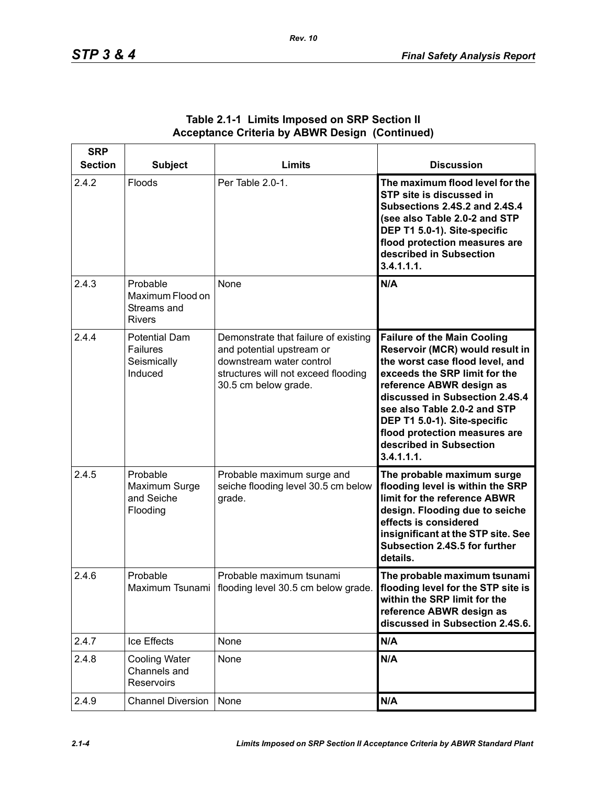| <b>SRP</b><br><b>Section</b> | <b>Subject</b>                                                    | Limits                                                                                                                                                       | <b>Discussion</b>                                                                                                                                                                                                                                                                                                                                 |
|------------------------------|-------------------------------------------------------------------|--------------------------------------------------------------------------------------------------------------------------------------------------------------|---------------------------------------------------------------------------------------------------------------------------------------------------------------------------------------------------------------------------------------------------------------------------------------------------------------------------------------------------|
| 2.4.2                        | Floods                                                            | Per Table 2.0-1.                                                                                                                                             | The maximum flood level for the<br>STP site is discussed in<br><b>Subsections 2.4S.2 and 2.4S.4</b><br>(see also Table 2.0-2 and STP<br>DEP T1 5.0-1). Site-specific<br>flood protection measures are<br>described in Subsection<br>3.4.1.1.1.                                                                                                    |
| 2.4.3                        | Probable<br>Maximum Flood on<br>Streams and<br><b>Rivers</b>      | None                                                                                                                                                         | N/A                                                                                                                                                                                                                                                                                                                                               |
| 2.4.4                        | <b>Potential Dam</b><br><b>Failures</b><br>Seismically<br>Induced | Demonstrate that failure of existing<br>and potential upstream or<br>downstream water control<br>structures will not exceed flooding<br>30.5 cm below grade. | <b>Failure of the Main Cooling</b><br>Reservoir (MCR) would result in<br>the worst case flood level, and<br>exceeds the SRP limit for the<br>reference ABWR design as<br>discussed in Subsection 2.4S.4<br>see also Table 2.0-2 and STP<br>DEP T1 5.0-1). Site-specific<br>flood protection measures are<br>described in Subsection<br>3.4.1.1.1. |
| 2.4.5                        | Probable<br>Maximum Surge<br>and Seiche<br>Flooding               | Probable maximum surge and<br>seiche flooding level 30.5 cm below<br>grade.                                                                                  | The probable maximum surge<br>flooding level is within the SRP<br>limit for the reference ABWR<br>design. Flooding due to seiche<br>effects is considered<br>insignificant at the STP site. See<br>Subsection 2.4S.5 for further<br>details.                                                                                                      |
| 2.4.6                        | Probable                                                          | Probable maximum tsunami<br>Maximum Tsunami   flooding level 30.5 cm below grade.                                                                            | The probable maximum tsunami<br>flooding level for the STP site is<br>within the SRP limit for the<br>reference ABWR design as<br>discussed in Subsection 2.4S.6.                                                                                                                                                                                 |
| 2.4.7                        | Ice Effects                                                       | None                                                                                                                                                         | N/A                                                                                                                                                                                                                                                                                                                                               |
| 2.4.8                        | <b>Cooling Water</b><br>Channels and<br>Reservoirs                | None                                                                                                                                                         | N/A                                                                                                                                                                                                                                                                                                                                               |
| 2.4.9                        | <b>Channel Diversion</b>                                          | None                                                                                                                                                         | N/A                                                                                                                                                                                                                                                                                                                                               |

### **Table 2.1-1 Limits Imposed on SRP Section II Acceptance Criteria by ABWR Design (Continued)**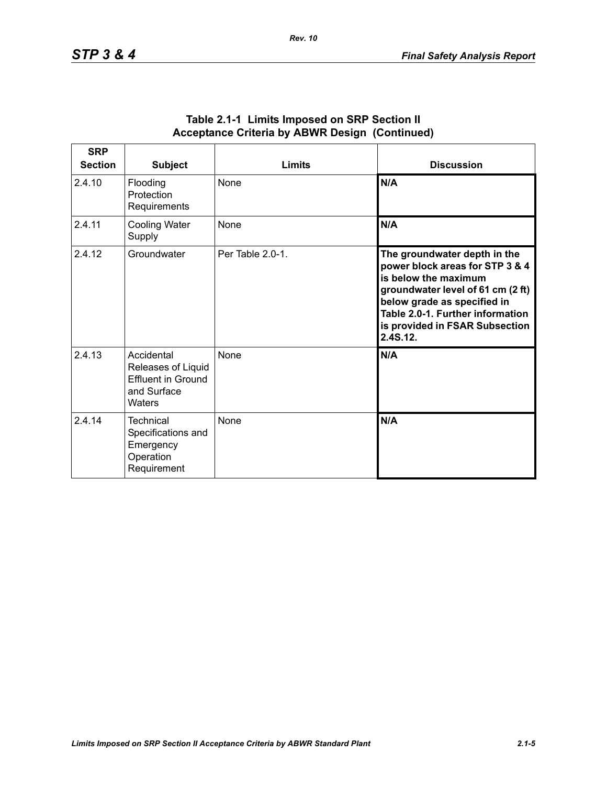| <b>SRP</b><br><b>Section</b> | <b>Subject</b>                                                                         | <b>Limits</b>    | <b>Discussion</b>                                                                                                                                                                                                                             |
|------------------------------|----------------------------------------------------------------------------------------|------------------|-----------------------------------------------------------------------------------------------------------------------------------------------------------------------------------------------------------------------------------------------|
| 2.4.10                       | Flooding<br>Protection<br>Requirements                                                 | None             | N/A                                                                                                                                                                                                                                           |
| 2.4.11                       | <b>Cooling Water</b><br>Supply                                                         | None             | N/A                                                                                                                                                                                                                                           |
| 2.4.12                       | Groundwater                                                                            | Per Table 2.0-1. | The groundwater depth in the<br>power block areas for STP 3 & 4<br>is below the maximum<br>groundwater level of 61 cm (2 ft)<br>below grade as specified in<br>Table 2.0-1. Further information<br>is provided in FSAR Subsection<br>2.4S.12. |
| 2.4.13                       | Accidental<br>Releases of Liquid<br><b>Effluent in Ground</b><br>and Surface<br>Waters | None             | N/A                                                                                                                                                                                                                                           |
| 2.4.14                       | Technical<br>Specifications and<br>Emergency<br>Operation<br>Requirement               | None             | N/A                                                                                                                                                                                                                                           |

#### **Table 2.1-1 Limits Imposed on SRP Section II Acceptance Criteria by ABWR Design (Continued)**